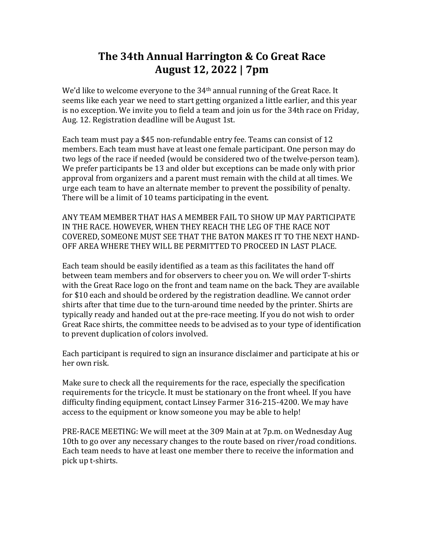## **The 34th Annual Harrington & Co Great Race August 12, 2022 | 7pm**

We'd like to welcome everyone to the  $34<sup>th</sup>$  annual running of the Great Race. It seems like each year we need to start getting organized a little earlier, and this year is no exception. We invite you to field a team and join us for the 34th race on Friday, Aug. 12. Registration deadline will be August 1st.

Each team must pay a \$45 non-refundable entry fee. Teams can consist of 12 members. Each team must have at least one female participant. One person may do two legs of the race if needed (would be considered two of the twelve-person team). We prefer participants be 13 and older but exceptions can be made only with prior approval from organizers and a parent must remain with the child at all times. We urge each team to have an alternate member to prevent the possibility of penalty. There will be a limit of 10 teams participating in the event.

ANY TEAM MEMBER THAT HAS A MEMBER FAIL TO SHOW UP MAY PARTICIPATE IN THE RACE. HOWEVER, WHEN THEY REACH THE LEG OF THE RACE NOT COVERED, SOMEONE MUST SEE THAT THE BATON MAKES IT TO THE NEXT HAND-OFF AREA WHERE THEY WILL BE PERMITTED TO PROCEED IN LAST PLACE.

Each team should be easily identified as a team as this facilitates the hand off between team members and for observers to cheer you on. We will order T-shirts with the Great Race logo on the front and team name on the back. They are available for \$10 each and should be ordered by the registration deadline. We cannot order shirts after that time due to the turn-around time needed by the printer. Shirts are typically ready and handed out at the pre-race meeting. If you do not wish to order Great Race shirts, the committee needs to be advised as to your type of identification to prevent duplication of colors involved.

Each participant is required to sign an insurance disclaimer and participate at his or her own risk.

Make sure to check all the requirements for the race, especially the specification requirements for the tricycle. It must be stationary on the front wheel. If you have difficulty finding equipment, contact Linsey Farmer 316-215-4200. We may have access to the equipment or know someone you may be able to help!

PRE-RACE MEETING: We will meet at the 309 Main at at 7p.m. on Wednesday Aug 10th to go over any necessary changes to the route based on river/road conditions. Each team needs to have at least one member there to receive the information and pick up t-shirts.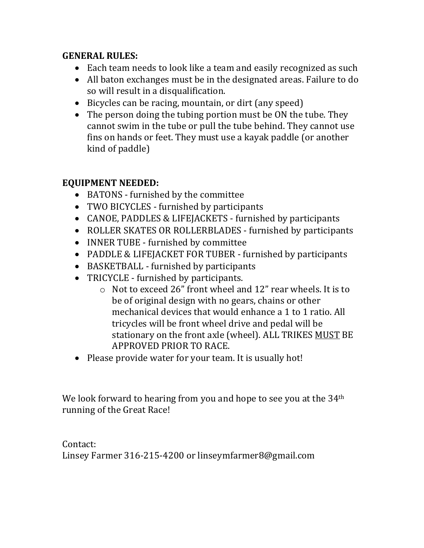#### **GENERAL RULES:**

- Each team needs to look like a team and easily recognized as such
- All baton exchanges must be in the designated areas. Failure to do so will result in a disqualification.
- Bicycles can be racing, mountain, or dirt (any speed)
- The person doing the tubing portion must be ON the tube. They cannot swim in the tube or pull the tube behind. They cannot use fins on hands or feet. They must use a kayak paddle (or another kind of paddle)

#### **EQUIPMENT NEEDED:**

- BATONS furnished by the committee
- TWO BICYCLES furnished by participants
- CANOE, PADDLES & LIFEJACKETS furnished by participants
- ROLLER SKATES OR ROLLERBLADES furnished by participants
- INNER TUBE furnished by committee
- PADDLE & LIFEJACKET FOR TUBER furnished by participants
- BASKETBALL furnished by participants
- TRICYCLE furnished by participants.
	- $\circ$  Not to exceed 26" front wheel and 12" rear wheels. It is to be of original design with no gears, chains or other mechanical devices that would enhance a 1 to 1 ratio. All tricycles will be front wheel drive and pedal will be stationary on the front axle (wheel). ALL TRIKES MUST BE APPROVED PRIOR TO RACE.
- Please provide water for your team. It is usually hot!

We look forward to hearing from you and hope to see you at the  $34<sup>th</sup>$ running of the Great Race!

Contact: Linsey Farmer 316-215-4200 or linseymfarmer8@gmail.com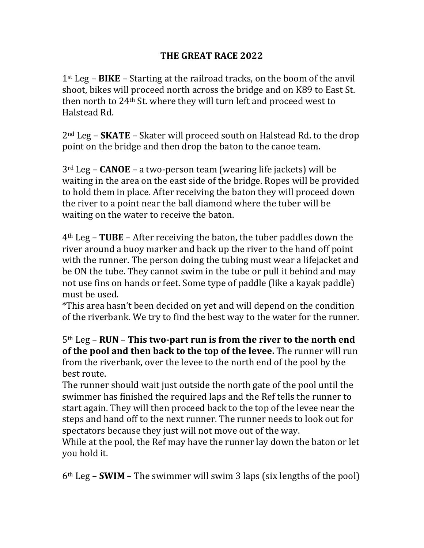### THE GREAT RACE 2022

 $1<sup>st</sup>$  Leg – **BIKE** – Starting at the railroad tracks, on the boom of the anvil shoot, bikes will proceed north across the bridge and on K89 to East St. then north to 24<sup>th</sup> St. where they will turn left and proceed west to Halstead Rd.

2<sup>nd</sup> Leg – **SKATE** – Skater will proceed south on Halstead Rd. to the drop point on the bridge and then drop the baton to the canoe team.

 $3<sup>rd</sup>$  Leg – **CANOE** – a two-person team (wearing life jackets) will be waiting in the area on the east side of the bridge. Ropes will be provided to hold them in place. After receiving the baton they will proceed down the river to a point near the ball diamond where the tuber will be waiting on the water to receive the baton.

 $4<sup>th</sup>$  Leg – **TUBE** – After receiving the baton, the tuber paddles down the river around a buoy marker and back up the river to the hand off point with the runner. The person doing the tubing must wear a lifejacket and be ON the tube. They cannot swim in the tube or pull it behind and may not use fins on hands or feet. Some type of paddle (like a kayak paddle) must be used.

\*This area hasn't been decided on yet and will depend on the condition of the riverbank. We try to find the best way to the water for the runner.

5<sup>th</sup> Leg – **RUN** – This two-part run is from the river to the north end **of the pool and then back to the top of the levee.** The runner will run from the riverbank, over the levee to the north end of the pool by the best route.

The runner should wait just outside the north gate of the pool until the swimmer has finished the required laps and the Ref tells the runner to start again. They will then proceed back to the top of the levee near the steps and hand off to the next runner. The runner needs to look out for spectators because they just will not move out of the way.

While at the pool, the Ref may have the runner lay down the baton or let you hold it.

 $6<sup>th</sup>$  Leg – **SWIM** – The swimmer will swim 3 laps (six lengths of the pool)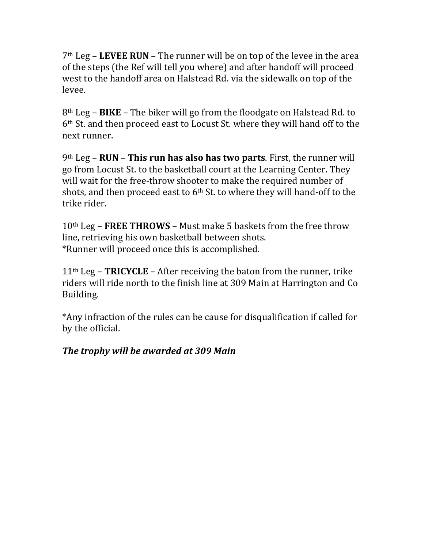7<sup>th</sup> Leg – LEVEE RUN – The runner will be on top of the levee in the area of the steps (the Ref will tell you where) and after handoff will proceed west to the handoff area on Halstead Rd. via the sidewalk on top of the levee.

 $8<sup>th</sup>$  Leg – **BIKE** – The biker will go from the floodgate on Halstead Rd. to 6<sup>th</sup> St. and then proceed east to Locust St. where they will hand off to the next runner.

9<sup>th</sup> Leg – **RUN** – This run has also has two parts. First, the runner will go from Locust St. to the basketball court at the Learning Center. They will wait for the free-throw shooter to make the required number of shots, and then proceed east to  $6<sup>th</sup>$  St. to where they will hand-off to the trike rider.

 $10<sup>th</sup>$  Leg – **FREE THROWS** – Must make 5 baskets from the free throw line, retrieving his own basketball between shots. \*Runner will proceed once this is accomplished.

 $11<sup>th</sup>$  Leg – **TRICYCLE** – After receiving the baton from the runner, trike riders will ride north to the finish line at 309 Main at Harrington and Co Building.

\*Any infraction of the rules can be cause for disqualification if called for by the official.

### *The trophy will be awarded at 309 Main*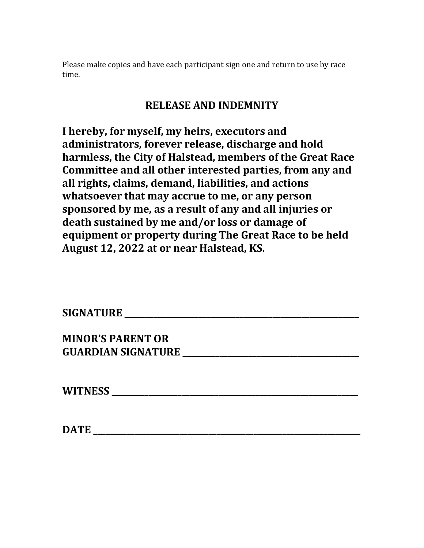Please make copies and have each participant sign one and return to use by race time.

### **RELEASE AND INDEMNITY**

I hereby, for myself, my heirs, executors and administrators, forever release, discharge and hold harmless, the City of Halstead, members of the Great Race Committee and all other interested parties, from any and all rights, claims, demand, liabilities, and actions **whatsoever that may accrue to me, or any person sponsored by me, as a result of any and all injuries or** death sustained by me and/or loss or damage of **equipment or property during The Great Race to be held** August 12, 2022 at or near Halstead, KS.

## **SIGNATURE \_\_\_\_\_\_\_\_\_\_\_\_\_\_\_\_\_\_\_\_\_\_\_\_\_\_\_\_\_\_\_\_\_\_\_\_\_\_\_\_\_\_\_\_\_\_\_\_\_\_\_\_\_\_\_\_\_**

**MINOR'S PARENT OR GUARDIAN SIGNATURE \_\_\_\_\_\_\_\_\_\_\_\_\_\_\_\_\_\_\_\_\_\_\_\_\_\_\_\_\_\_\_\_\_\_\_\_\_\_\_\_\_\_\_**

**WITNESS** 

**DATE \_\_\_\_\_\_\_\_\_\_\_\_\_\_\_\_\_\_\_\_\_\_\_\_\_\_\_\_\_\_\_\_\_\_\_\_\_\_\_\_\_\_\_\_\_\_\_\_\_\_\_\_\_\_\_\_\_\_\_\_\_\_\_\_\_**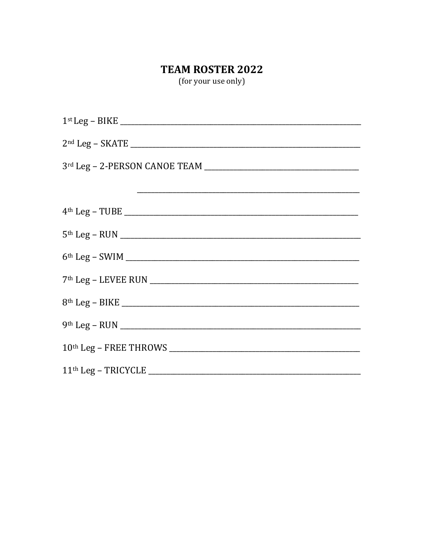### TEAM ROSTER 2022

(for your use only)